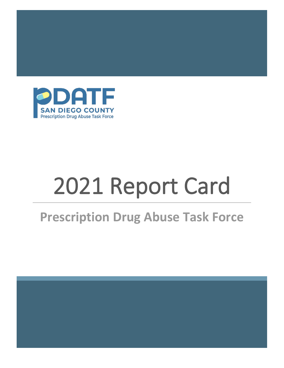

# 2021 Report Card

# **Prescription Drug Abuse Task Force**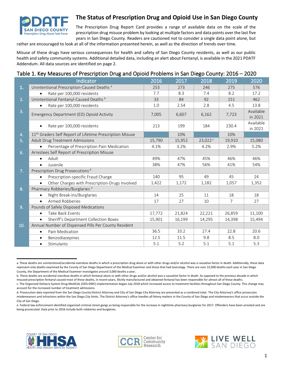

### **The Status of Prescription Drug and Opioid Use in San Diego County**

The Prescription Drug Report Card provides a range of available data on the scale of the prescription drug misuse problem by looking at multiple factors and data points over the last five years in San Diego County. Readers are cautioned not to consider a single data point alone, but

rather are encouraged to look at all of the information presented herein, as well as the direction of trends over time.

Misuse of these drugs have serious consequences for health and safety of San Diego County residents, as well as our public health and safety community systems. Additional detailed data, including an alert about Fentanyl, is available in the 2021 PDATF Addendum. All data sources are identified on page 2.

#### Table 1. Key Measures of Prescription Drug and Opioid Problems in San Diego County: 2016 – 2020

|     | Indicator                                                            | 2016   | 2017   | 2018    | 2019           | 2020                 |
|-----|----------------------------------------------------------------------|--------|--------|---------|----------------|----------------------|
| 1.  | Unintentional Prescription-Caused Deaths <sup>a</sup>                | 253    | 273    | 246     | 275            | 576                  |
|     | Rate per 100,000 residents<br>$\bullet$                              | 7.7    | 8.3    | 7.4     | 8.2            | 17.2                 |
| 2.  | Unintentional Fentanyl-Caused Deaths b                               | 33     | 84     | 92      | 151            | 462                  |
|     | Rate per 100,000 residents<br>$\bullet$                              | 1.0    | 2.54   | 2.8     | 4.5            | 13.8                 |
| 3.  | Emergency Department (ED) Opioid Activity                            | 7,005  | 6,607  | 6,162   | 7,723          | Available<br>in 2021 |
|     | Rate per 100,000 residents                                           | 213    | 199    | 184     | 230.4          | Available<br>in 2021 |
| 4.  | 11 <sup>th</sup> Graders Self Report of Lifetime Prescription Misuse |        | 10%    |         | 10%            |                      |
| 5.  | <b>Adult Drug Treatment Admissions</b>                               | 15,790 | 15,952 | 23,022c | 19,910         | 15,080               |
|     | Percentage of Prescription Pain Medication<br>$\bullet$              | 4.1%   | 3.2%   | 4.2%    | 2.9%           | 5.2%                 |
| 6.  | Arrestees Self Report of Prescription Misuse                         |        |        |         |                |                      |
|     | Adult<br>$\bullet$                                                   | 49%    | 47%    | 45%     | 46%            | 46%                  |
|     | Juvenile<br>$\bullet$                                                | 38%    | 47%    | 56%     | 41%            | 54%                  |
| 7.  | Prescription Drug Prosecutions <sup>d</sup>                          |        |        |         |                |                      |
|     | Prescription-specific Fraud Charge<br>$\bullet$                      | 140    | 95     | 49      | 45             | 24                   |
|     | Other Charges with Prescription-Drugs Involved<br>$\bullet$          | 1,422  | 1,172  | 1,182   | 1,057          | 1,352                |
| 8.  | Pharmacy Robberies/Burglaries <sup>e</sup>                           |        |        |         |                |                      |
|     | Night Break-Ins/Burglaries<br>$\bullet$                              | 14     | 25     | 11      | 18             | 18                   |
|     | <b>Armed Robberies</b><br>$\bullet$                                  | 17     | 27     | 10      | $\overline{7}$ | 27                   |
| 9.  | Pounds of Safely Disposed Medications                                |        |        |         |                |                      |
|     | Take Back Events<br>$\bullet$                                        | 17,772 | 21,824 | 22,221  | 26,859         | 11,100               |
|     | Sheriff's Department Collection Boxes<br>$\bullet$                   | 15,901 | 16,199 | 14,295  | 14,398         | 15,494               |
| 10. | Annual Number of Dispensed Pills Per County Resident                 |        |        |         |                |                      |
|     | Pain Medication<br>$\bullet$                                         | 36.5   | 33.2   | 27.4    | 22.8           | 20.6                 |
|     | Benzodiazepines<br>$\bullet$                                         | 12.5   | 11.5   | 9.8     | 8.5            | 8.0                  |
|     | Stimulants<br>$\bullet$                                              | 5.1    | 5.2    | 5.1     | 5.1            | 5.3                  |

a. These deaths are unintentional/accidental overdose deaths in which a prescription drug alone or with other drugs and/or alcohol was a causative factor in death. Additionally, these data represent only deaths examined by the County of San Diego Department of the Medical Examiner and those that had toxicology. There are over 22,000 deaths each year in San Diego County, the Department of the Medical Examiner investigates around 3,000 deaths a year.

b. These deaths are accidental overdose deaths in which fentanyl alone or with other drugs and/or alcohol was a causative factor in death. As opposed to the previous decade in which misused prescription fentanyl caused most of these deaths, in recent years, illicitly manufactured and obtained fentanyl has been responsible for almost all of these deaths. c. The Organized Delivery System Drug-MediCAL (ODS-DMC) implementation began July 2018 which increased access to treatment facilities throughout San Diego County. This change may







account for the increased number of treatment admissions. d. Prosecution data reported from the San Diego County District Attorney and City of San Diego City Attorney are presented as a combined total. The City Attorney's office prosecutes

misdemeanors and infractions within the San Diego City limits. The District Attorney's office handles all felony matters in the County of San Diego and misdemeanors that occur outside the City of San Diego.

e. Federal law enforcement identified organized criminal street gangs as being responsible for the increase in nighttime pharmacy burglaries for 2017. Offenders have been arrested and are being prosecuted. Data prior to 2016 include both robberies and burglaries.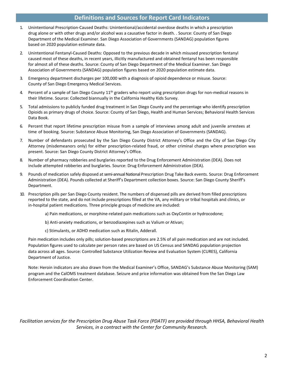#### **Definitions and Sources for Report Card Indicators**

- 1. Unintentional Prescription-Caused Deaths: Unintentional/accidental overdose deaths in which a prescription drug alone or with other drugs and/or alcohol was a causative factor in death. . Source: County of San Diego Department of the Medical Examiner. San Diego Association of Governments (SANDAG) population figures based on 2020 population estimate data.
- 2. Unintentional Fentanyl-Caused Deaths: Opposed to the previous decade in which misused prescription fentanyl caused most of these deaths, in recent years, illicitly manufactured and obtained fentanyl has been responsible for almost all of these deaths. Source: County of San Diego Department of the Medical Examiner. San Diego Association of Governments (SANDAG) population figures based on 2020 population estimate data.
- 3. Emergency department discharges per 100,000 with a diagnosis of opioid dependence or misuse. Source: County of San Diego Emergency Medical Services.
- 4. Percent of a sample of San Diego County  $11<sup>th</sup>$  graders who report using prescription drugs for non-medical reasons in their lifetime. Source: Collected biannually in the California Healthy Kids Survey.
- 5. Total admissions to publicly funded drug treatment in San Diego County and the percentage who identify prescription Opioids as primary drugs of choice. Source: County of San Diego, Health and Human Services; Behavioral Health Services Data Book.
- 6. Percent that report lifetime prescription misuse from a sample of interviews among adult and juvenile arrestees at time of booking. Source: Substance Abuse Monitoring, San Diego Association of Governments (SANDAG).
- 7. Number of defendants prosecuted by the San Diego County District Attorney's Office and the City of San Diego City Attorney (misdemeanors only) for either prescription-related fraud, or other criminal charges where prescription was present. Source: San Diego County District Attorney's Office.
- 8. Number of pharmacy robberies and burglaries reported to the Drug Enforcement Administration (DEA). Does not include attempted robberies and burglaries. Source: Drug Enforcement Administration (DEA).
- 9. Pounds of medication safely disposed at semi-annual National Prescription Drug Take Back events. Source: Drug Enforcement Administration (DEA). Pounds collected at Sheriff's Department collection boxes. Source: San Diego County Sheriff's Department.
- 10. Prescription pills per San Diego County resident. The numbers of dispensed pills are derived from filled prescriptions reported to the state, and do not include prescriptions filled at the VA, any military or tribal hospitals and clinics, or in-hospital patient medications. Three principle groups of medicine are included:
	- a) Pain medications, or morphine-related pain medications such as OxyContin or hydrocodone;
	- b) Anti-anxiety medications, or benzodiazepines such as Valium or Ativan;
	- c) Stimulants, or ADHD medication such as Ritalin, Adderall.

Pain medication includes only pills; solution-based prescriptions are 2.5% of all pain medication and are not included. Population figures used to calculate per person rates are based on US Census and SANDAG population projection data across all ages. Source: Controlled Substance Utilization Review and Evaluation System (CURES), California Department of Justice.

Note: Heroin indicators are also drawn from the Medical Examiner's Office, SANDAG's Substance Abuse Monitoring (SAM) program and the CalOMS treatment database. Seizure and price information was obtained from the San Diego Law Enforcement Coordination Center.

*Facilitation services for the Prescription Drug Abuse Task Force (PDATF) are provided through HHSA, Behavioral Health Services, in a contract with the Center for Community Research.*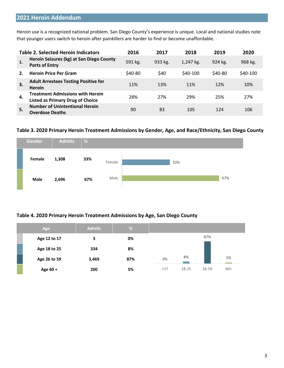# **2021 Heroin Addendum**

Heroin use is a recognized national problem. San Diego County's experience is unique. Local and national studies note that younger users switch to heroin after painkillers are harder to find or become unaffordable.

|    | <b>Table 2. Selected Heroin Indicators</b>                                         | 2016     | 2017    | 2018      | 2019    | 2020     |
|----|------------------------------------------------------------------------------------|----------|---------|-----------|---------|----------|
| 1. | Heroin Seizures (kg) at San Diego County<br><b>Ports of Entry</b>                  | 591 kg.  | 933 kg. | 1,247 kg. | 924 kg. | 968 kg.  |
|    | <b>Heroin Price Per Gram</b>                                                       | $$40-80$ | \$40    | $$40-100$ | \$40-80 | \$40-100 |
| 3. | <b>Adult Arrestees Testing Positive for</b><br><b>Heroin</b>                       | 11%      | 13%     | 11%       | 12%     | 10%      |
| 4. | <b>Treatment Admissions with Heroin</b><br><b>Listed as Primary Drug of Choice</b> | 28%      | 27%     | 29%       | 25%     | 27%      |
| 5. | <b>Number of Unintentional Heroin</b><br><b>Overdose Deaths</b>                    | 90       | 83      | 105       | 124     | 106      |

#### **Table 3. 2020 Primary Heroin Treatment Admissions by Gender, Age, and Race/Ethnicity, San Diego County**



#### **Table 4. 2020 Primary Heroin Treatment Admissions by Age, San Diego County**

| Age          | <b>Admits</b> | %   |     |       |           |       |
|--------------|---------------|-----|-----|-------|-----------|-------|
| Age 12 to 17 | 3             | 0%  |     |       | 87%       |       |
| Age 18 to 25 | 334           | 8%  |     |       |           |       |
| Age 26 to 59 | 3,469         | 87% | 0%  | 8%    |           | 5%    |
| Age 60 +     | 200           | 5%  | <17 | 18-25 | $26 - 59$ | $60+$ |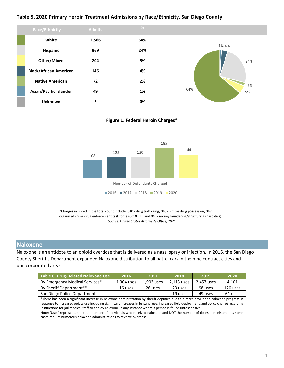#### **Table 5. 2020 Primary Heroin Treatment Admissions by Race/Ethnicity, San Diego County**



**Figure 1. Federal Heroin Charges\***



\*Charges included in the total count include: 040 - drug trafficking; 045 - simple drug possession; 047 organized crime drug enforcement task force (OCDETF); and 06F - money laundering/structuring (narcotics). *Source: United States Attorney's Office, 2021*

#### **Naloxone**

Naloxone is an antidote to an opioid overdose that is delivered as a nasal spray or injection. In 2015, the San Diego County Sheriff's Department expanded Naloxone distribution to all patrol cars in the nine contract cities and unincorporated areas.

| Table 6. Drug-Related Naloxone Use | 2016       | 2017       | 2018       | 2019       | 2020     |
|------------------------------------|------------|------------|------------|------------|----------|
| By Emergency Medical Services*     | 1,304 uses | 1.903 uses | 2,113 uses | 2,457 uses | 4.101    |
| By Sheriff Department**            | 16 uses    | 26 uses    | 23 uses    | 98 uses    | 120 uses |
| San Diego Police Department        | $- -$      | $-$        | 19 uses    | 49 uses    | 61 uses  |

\*There has been a significant increase in naloxone administration by sheriff deputies due to a more developed naloxone program in response to increased opiate use including significant increases in fentanyl use; increased field deployment; and policy change regarding instructions for jail medical staff to deploy naloxone in any instance where a person is found unresponsive.

Note: 'Uses' represents the total number of individuals who received naloxone and NOT the number of doses administered as some cases require numerous naloxone administrations to reverse overdose.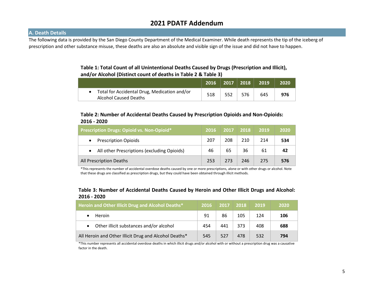# **2021 PDATF Addendum**

#### **A. Death Details**

The following data is provided by the San Diego County Department of the Medical Examiner. While death represents the tip of the iceberg of prescription and other substance misuse, these deaths are also an absolute and visible sign of the issue and did not have to happen.

#### **Table 1: Total Count of all Unintentional Deaths Caused by Drugs (Prescription and Illicit), and/or Alcohol (Distinct count of deaths in Table 2 & Table 3)**

|                                                                                | 2016   2017   2018   $\,$ |     |     | 2019 | 2020 |
|--------------------------------------------------------------------------------|---------------------------|-----|-----|------|------|
| • Total for Accidental Drug, Medication and/or<br><b>Alcohol Caused Deaths</b> | 518                       | 552 | 576 | 645  | 976  |

#### **Table 2: Number of Accidental Deaths Caused by Prescription Opioids and Non-Opioids: 2016 - 20202**

| Prescription Drugs: Opioid vs. Non-Opioid*1              | 2016 | 2017 | 2018 | 2019 | 2020 |
|----------------------------------------------------------|------|------|------|------|------|
| <b>Prescription Opioids</b>                              | 207  | 208  | 210  | 214  | 534  |
| All other Prescriptions (excluding Opioids)<br>$\bullet$ | 46   | 65   | 36   | 61   | 42   |
| <b>All Prescription Deaths</b>                           | 253  | 273  | 246  | 275  | 576  |

\*This represents the number of accidental overdose deaths caused by one or more prescriptions, alone or with other drugs or alcohol. Note that these drugs are classified as prescription drugs, but they could have been obtained through illicit methods.

#### **Table 3: Number of Accidental Deaths Caused by Heroin and Other Illicit Drugs and Alcohol: 2016 - 20202**

| <b>Heroin and Other Illicit Drug and Alcohol Deaths*</b> | 2016 | 2017 | 2018 | 2019 | 2020 |
|----------------------------------------------------------|------|------|------|------|------|
| <b>Heroin</b>                                            | 91   | 86   | 105  | 124  | 106  |
| Other illicit substances and/or alcohol                  | 454  | 441  | 373  | 408  | 688  |
| All Heroin and Other Illicit Drug and Alcohol Deaths*    | 545  | 527  | 478  | 532  | 794  |

\*This number represents all accidental overdose deaths in which illicit drugs and/or alcohol with or without a prescription drug was a causative factor in the death.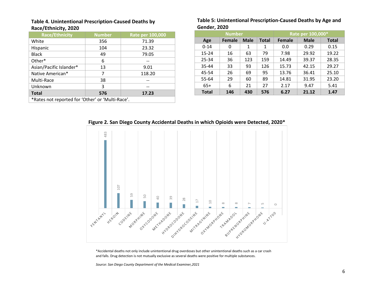#### **Table 4. Unintentional Prescription-Caused Deaths by Race/Ethnicity, 2020**

| <b>Race/Ethnicity</b>                            | <b>Number</b> | Rate per 100,000 |  |  |  |  |  |  |
|--------------------------------------------------|---------------|------------------|--|--|--|--|--|--|
| White                                            | 356           | 71.39            |  |  |  |  |  |  |
| Hispanic                                         | 104           | 23.32            |  |  |  |  |  |  |
| <b>Black</b>                                     | 49            | 79.05            |  |  |  |  |  |  |
| Other*                                           | 6             |                  |  |  |  |  |  |  |
| Asian/Pacific Islander*                          | 13            | 9.01             |  |  |  |  |  |  |
| Native American*                                 | 7             | 118.20           |  |  |  |  |  |  |
| Multi-Race                                       | 38            |                  |  |  |  |  |  |  |
| Unknown<br>3                                     |               |                  |  |  |  |  |  |  |
| 576<br><b>Total</b><br>17.23                     |               |                  |  |  |  |  |  |  |
| *Rates not reported for 'Other' or 'Multi-Race'. |               |                  |  |  |  |  |  |  |

#### **Table 5: Unintentional Prescription-Caused Deaths by Age and Gender, 2020**

|              | <b>Number</b> |             | Rate per 100,000* |               |             |              |  |
|--------------|---------------|-------------|-------------------|---------------|-------------|--------------|--|
| Age          | Female        | <b>Male</b> | <b>Total</b>      | <b>Female</b> | <b>Male</b> | <b>Total</b> |  |
| $0 - 14$     | 0             | 1           | 1                 | 0.0           | 0.29        | 0.15         |  |
| $15 - 24$    | 16            | 63          | 79                | 7.98          | 29.92       | 19.22        |  |
| 25-34        | 36            | 123         | 159               | 14.49         | 39.37       | 28.35        |  |
| 35-44        | 33            | 93          | 126               | 15.73         | 42.15       | 29.27        |  |
| 45-54        | 26            | 69          | 95                | 13.76         | 36.41       | 25.10        |  |
| 55-64        | 29            | 60          | 89                | 14.81         | 31.95       | 23.20        |  |
| $65+$        | 6             | 21          | 27                | 2.17          | 9.47        | 5.41         |  |
| <b>Total</b> | 146           | 430         | 576               | 6.27          | 21.12       | 1.47         |  |

**Figure 2. San Diego County Accidental Deaths in which Opioids were Detected, 2020\***



\*Accidental deaths not only include unintentional drug overdoses but other unintentional deaths such as a car crash and falls. Drug detection is not mutually exclusive as several deaths were positive for multiple substances.

*Source: San Diego County Department of the Medical Examiner,2021*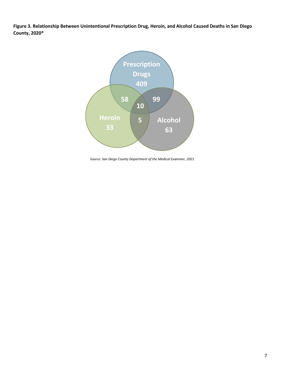**Figure 3. Relationship Between Unintentional Prescription Drug, Heroin, and Alcohol Caused Deaths in San Diego County, 2020\***



*Source: San Diego County Department of the Medical Examiner, 2021*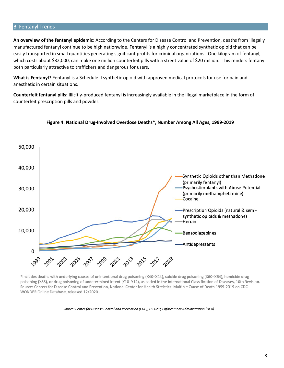#### B. Fentanyl Trends

**An overview of the fentanyl epidemic:** According to the Centers for Disease Control and Prevention, deaths from illegally manufactured fentanyl continue to be high nationwide. Fentanyl is a highly concentrated synthetic opioid that can be easily transported in small quantities generating significant profits for criminal organizations. One kilogram of fentanyl, which costs about \$32,000, can make one million counterfeit pills with a street value of \$20 million. This renders fentanyl both particularly attractive to traffickers and dangerous for users.

**What is Fentanyl?** Fentanyl is a Schedule II synthetic opioid with approved medical protocols for use for pain and anesthetic in certain situations.

**Counterfeit fentanyl pills:** Illicitly-produced fentanyl is increasingly available in the illegal marketplace in the form of counterfeit prescription pills and powder.



#### **Figure 4. National Drug-Involved Overdose Deaths\*, Number Among All Ages, 1999-2019**

\*Includes deaths with underlying causes of unintentional drug poisoning (X40-X44), suicide drug poisoning (X60-X64), homicide drug poisoning (X85), or drug poisoning of undetermined intent (Y10-Y14), as coded in the International Classification of Diseases, 10th Revision. Source: Centers for Disease Control and Prevention, National Center for Health Statistics. Multiple Cause of Death 1999-2019 on CDC WONDER Online Database, released 12/2020.

*Source: Center for Disease Control and Prevention (CDC); US Drug Enforcement Administration (DEA)*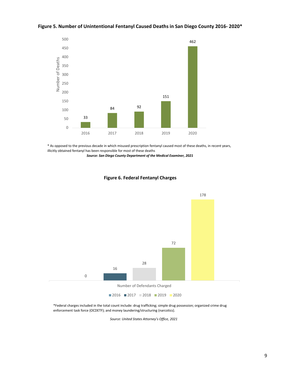

#### **Figure 5. Number of Unintentional Fentanyl Caused Deaths in San Diego County 2016- 2020\***

\* As opposed to the previous decade in which misused prescription fentanyl caused most of these deaths, in recent years, illicitly obtained fentanyl has been responsible for most of these deaths

*Source: San Diego County Department of the Medical Examiner, 2021*



#### **Figure 6. Federal Fentanyl Charges**

\*Federal charges included in the total count include: drug trafficking; simple drug possession; organized crime drug enforcement task force (OCDETF); and money laundering/structuring (narcotics).

*Source: United States Attorney's Office, 2021*